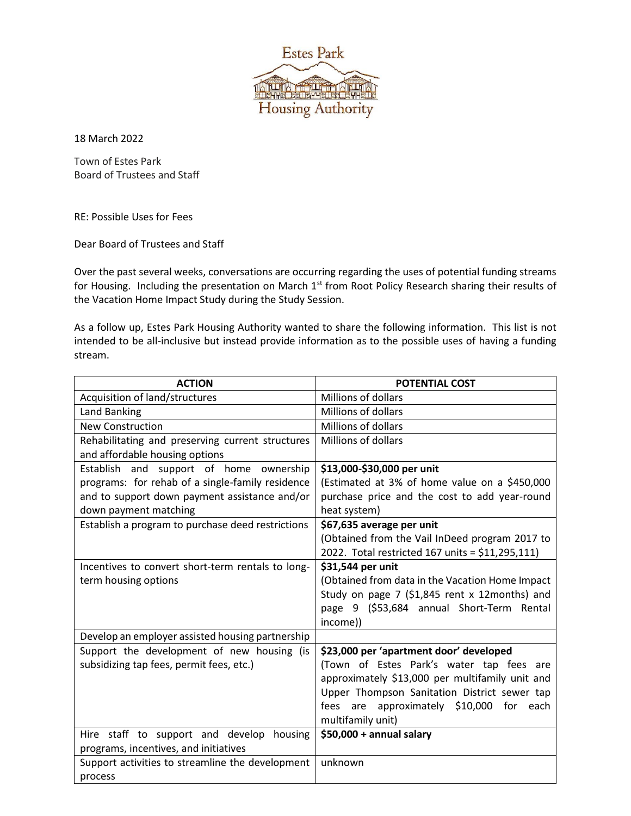

18 March 2022

Town of Estes Park Board of Trustees and Staff

RE: Possible Uses for Fees

Dear Board of Trustees and Staff

Over the past several weeks, conversations are occurring regarding the uses of potential funding streams for Housing. Including the presentation on March 1<sup>st</sup> from Root Policy Research sharing their results of the Vacation Home Impact Study during the Study Session.

As a follow up, Estes Park Housing Authority wanted to share the following information. This list is not intended to be all-inclusive but instead provide information as to the possible uses of having a funding stream.

| <b>ACTION</b>                                     | <b>POTENTIAL COST</b>                            |
|---------------------------------------------------|--------------------------------------------------|
| Acquisition of land/structures                    | Millions of dollars                              |
| <b>Land Banking</b>                               | <b>Millions of dollars</b>                       |
| <b>New Construction</b>                           | Millions of dollars                              |
| Rehabilitating and preserving current structures  | Millions of dollars                              |
| and affordable housing options                    |                                                  |
| Establish and support of home ownership           | \$13,000-\$30,000 per unit                       |
| programs: for rehab of a single-family residence  | (Estimated at 3% of home value on a \$450,000    |
| and to support down payment assistance and/or     | purchase price and the cost to add year-round    |
| down payment matching                             | heat system)                                     |
| Establish a program to purchase deed restrictions | \$67,635 average per unit                        |
|                                                   | (Obtained from the Vail InDeed program 2017 to   |
|                                                   | 2022. Total restricted 167 units = \$11,295,111) |
| Incentives to convert short-term rentals to long- | \$31,544 per unit                                |
| term housing options                              | (Obtained from data in the Vacation Home Impact  |
|                                                   | Study on page 7 (\$1,845 rent x 12months) and    |
|                                                   | page 9 (\$53,684 annual Short-Term Rental        |
|                                                   | income))                                         |
| Develop an employer assisted housing partnership  |                                                  |
| Support the development of new housing (is        | \$23,000 per 'apartment door' developed          |
| subsidizing tap fees, permit fees, etc.)          | (Town of Estes Park's water tap fees are         |
|                                                   | approximately \$13,000 per multifamily unit and  |
|                                                   | Upper Thompson Sanitation District sewer tap     |
|                                                   | fees are approximately \$10,000<br>for<br>each   |
|                                                   | multifamily unit)                                |
| Hire staff to support and develop<br>housing      | $$50,000 +$ annual salary                        |
| programs, incentives, and initiatives             |                                                  |
| Support activities to streamline the development  | unknown                                          |
| process                                           |                                                  |